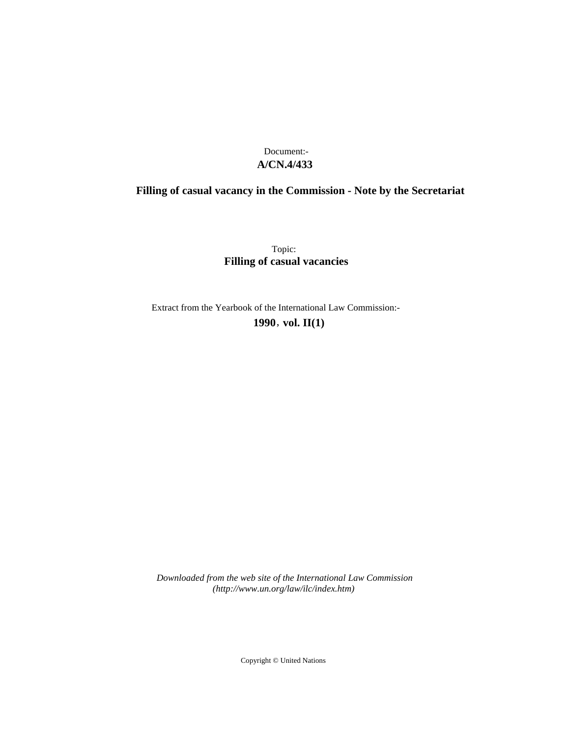## **A/CN.4/433** Document:-

# **Filling of casual vacancy in the Commission - Note by the Secretariat**

Topic: **Filling of casual vacancies**

Extract from the Yearbook of the International Law Commission:- **1990** , **vol. II(1)**

*Downloaded from the web site of the International Law Commission (http://www.un.org/law/ilc/index.htm)*

Copyright © United Nations